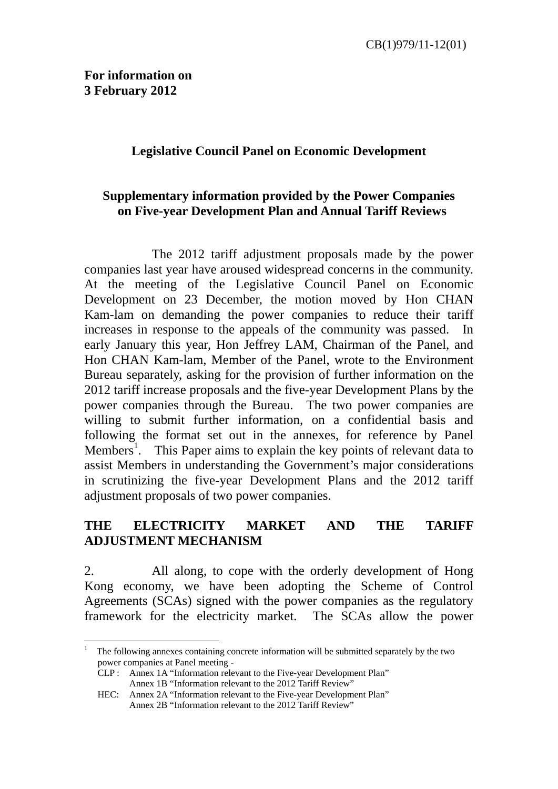1

### **Legislative Council Panel on Economic Development**

# **Supplementary information provided by the Power Companies on Five-year Development Plan and Annual Tariff Reviews**

The 2012 tariff adjustment proposals made by the power companies last year have aroused widespread concerns in the community. At the meeting of the Legislative Council Panel on Economic Development on 23 December, the motion moved by Hon CHAN Kam-lam on demanding the power companies to reduce their tariff increases in response to the appeals of the community was passed. In early January this year, Hon Jeffrey LAM, Chairman of the Panel, and Hon CHAN Kam-lam, Member of the Panel, wrote to the Environment Bureau separately, asking for the provision of further information on the 2012 tariff increase proposals and the five-year Development Plans by the power companies through the Bureau. The two power companies are willing to submit further information, on a confidential basis and following the format set out in the annexes, for reference by Panel Members<sup>1</sup>. This Paper aims to explain the key points of relevant data to assist Members in understanding the Government's major considerations in scrutinizing the five-year Development Plans and the 2012 tariff adjustment proposals of two power companies.

# **THE ELECTRICITY MARKET AND THE TARIFF ADJUSTMENT MECHANISM**

2. All along, to cope with the orderly development of Hong Kong economy, we have been adopting the Scheme of Control Agreements (SCAs) signed with the power companies as the regulatory framework for the electricity market. The SCAs allow the power

<sup>1</sup> The following annexes containing concrete information will be submitted separately by the two power companies at Panel meeting -

CLP : Annex 1A "Information relevant to the Five-year Development Plan" Annex 1B "Information relevant to the 2012 Tariff Review"

HEC: Annex 2A "Information relevant to the Five-year Development Plan" Annex 2B "Information relevant to the 2012 Tariff Review"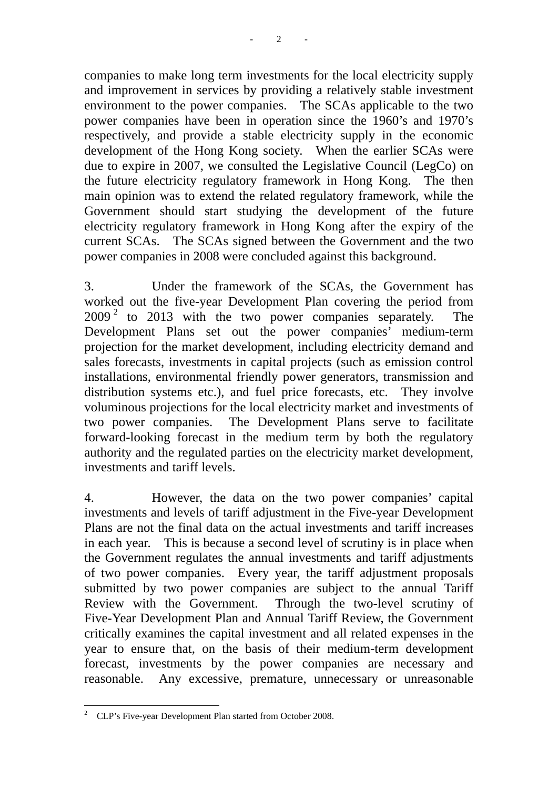companies to make long term investments for the local electricity supply and improvement in services by providing a relatively stable investment environment to the power companies. The SCAs applicable to the two power companies have been in operation since the 1960's and 1970's respectively, and provide a stable electricity supply in the economic development of the Hong Kong society. When the earlier SCAs were due to expire in 2007, we consulted the Legislative Council (LegCo) on the future electricity regulatory framework in Hong Kong. The then main opinion was to extend the related regulatory framework, while the Government should start studying the development of the future electricity regulatory framework in Hong Kong after the expiry of the current SCAs. The SCAs signed between the Government and the two power companies in 2008 were concluded against this background.

3. Under the framework of the SCAs, the Government has worked out the five-year Development Plan covering the period from  $2009<sup>2</sup>$  to 2013 with the two power companies separately. The Development Plans set out the power companies' medium-term projection for the market development, including electricity demand and sales forecasts, investments in capital projects (such as emission control installations, environmental friendly power generators, transmission and distribution systems etc.), and fuel price forecasts, etc. They involve voluminous projections for the local electricity market and investments of two power companies. The Development Plans serve to facilitate forward-looking forecast in the medium term by both the regulatory authority and the regulated parties on the electricity market development, investments and tariff levels.

4. However, the data on the two power companies' capital investments and levels of tariff adjustment in the Five-year Development Plans are not the final data on the actual investments and tariff increases in each year. This is because a second level of scrutiny is in place when the Government regulates the annual investments and tariff adjustments of two power companies. Every year, the tariff adjustment proposals submitted by two power companies are subject to the annual Tariff Review with the Government. Through the two-level scrutiny of Five-Year Development Plan and Annual Tariff Review, the Government critically examines the capital investment and all related expenses in the year to ensure that, on the basis of their medium-term development forecast, investments by the power companies are necessary and reasonable. Any excessive, premature, unnecessary or unreasonable

<sup>&</sup>lt;sup>2</sup> CLP's Five-year Development Plan started from October 2008.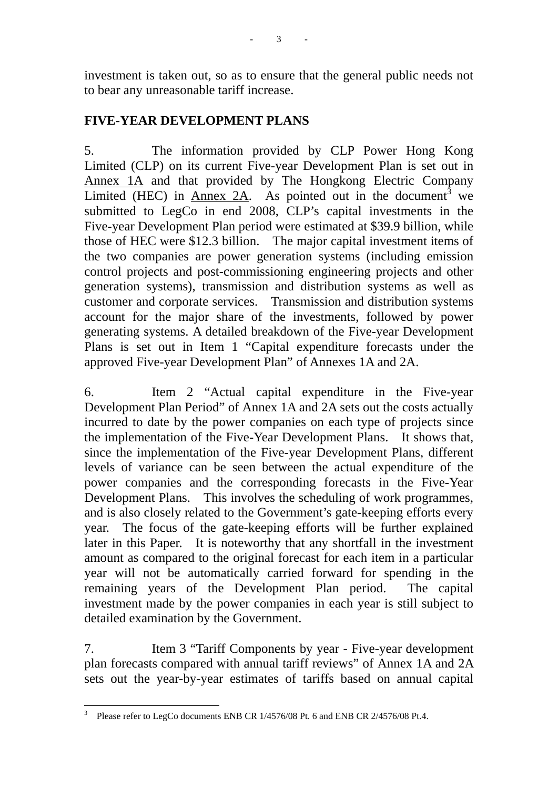investment is taken out, so as to ensure that the general public needs not to bear any unreasonable tariff increase.

## **FIVE-YEAR DEVELOPMENT PLANS**

5. The information provided by CLP Power Hong Kong Limited (CLP) on its current Five-year Development Plan is set out in Annex 1A and that provided by The Hongkong Electric Company Limited (HEC) in  $\overline{Annex 2A}$ . As pointed out in the document<sup>3</sup> we submitted to LegCo in end 2008, CLP's capital investments in the Five-year Development Plan period were estimated at \$39.9 billion, while those of HEC were \$12.3 billion. The major capital investment items of the two companies are power generation systems (including emission control projects and post-commissioning engineering projects and other generation systems), transmission and distribution systems as well as customer and corporate services. Transmission and distribution systems account for the major share of the investments, followed by power generating systems. A detailed breakdown of the Five-year Development Plans is set out in Item 1 "Capital expenditure forecasts under the approved Five-year Development Plan" of Annexes 1A and 2A.

6. Item 2 "Actual capital expenditure in the Five-year Development Plan Period" of Annex 1A and 2A sets out the costs actually incurred to date by the power companies on each type of projects since the implementation of the Five-Year Development Plans. It shows that, since the implementation of the Five-year Development Plans, different levels of variance can be seen between the actual expenditure of the power companies and the corresponding forecasts in the Five-Year Development Plans. This involves the scheduling of work programmes, and is also closely related to the Government's gate-keeping efforts every year. The focus of the gate-keeping efforts will be further explained later in this Paper. It is noteworthy that any shortfall in the investment amount as compared to the original forecast for each item in a particular year will not be automatically carried forward for spending in the remaining years of the Development Plan period. The capital investment made by the power companies in each year is still subject to detailed examination by the Government.

7. Item 3 "Tariff Components by year - Five-year development plan forecasts compared with annual tariff reviews" of Annex 1A and 2A sets out the year-by-year estimates of tariffs based on annual capital

 $\frac{1}{3}$ Please refer to LegCo documents ENB CR 1/4576/08 Pt. 6 and ENB CR 2/4576/08 Pt.4.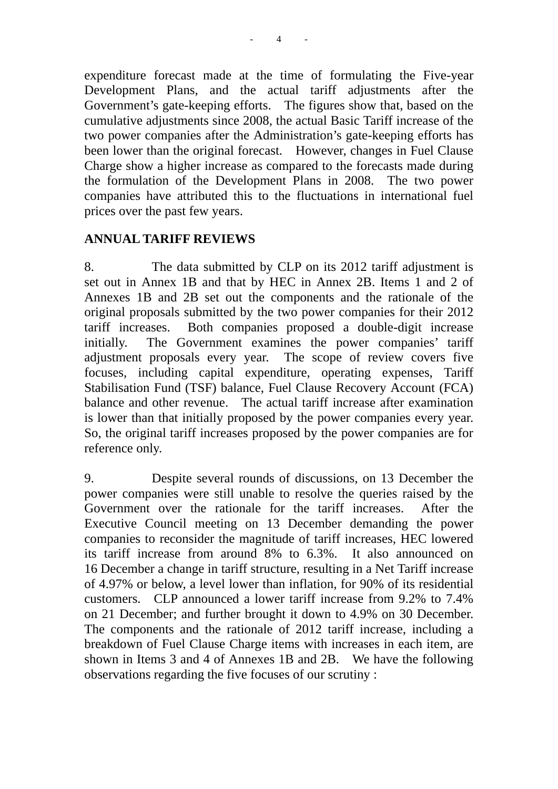expenditure forecast made at the time of formulating the Five-year Development Plans, and the actual tariff adjustments after the Government's gate-keeping efforts. The figures show that, based on the cumulative adjustments since 2008, the actual Basic Tariff increase of the two power companies after the Administration's gate-keeping efforts has been lower than the original forecast. However, changes in Fuel Clause Charge show a higher increase as compared to the forecasts made during the formulation of the Development Plans in 2008. The two power companies have attributed this to the fluctuations in international fuel prices over the past few years.

# **ANNUAL TARIFF REVIEWS**

8. The data submitted by CLP on its 2012 tariff adjustment is set out in Annex 1B and that by HEC in Annex 2B. Items 1 and 2 of Annexes 1B and 2B set out the components and the rationale of the original proposals submitted by the two power companies for their 2012 tariff increases. Both companies proposed a double-digit increase initially. The Government examines the power companies' tariff adjustment proposals every year. The scope of review covers five focuses, including capital expenditure, operating expenses, Tariff Stabilisation Fund (TSF) balance, Fuel Clause Recovery Account (FCA) balance and other revenue. The actual tariff increase after examination is lower than that initially proposed by the power companies every year. So, the original tariff increases proposed by the power companies are for reference only.

9. Despite several rounds of discussions, on 13 December the power companies were still unable to resolve the queries raised by the Government over the rationale for the tariff increases. After the Executive Council meeting on 13 December demanding the power companies to reconsider the magnitude of tariff increases, HEC lowered its tariff increase from around 8% to 6.3%. It also announced on 16 December a change in tariff structure, resulting in a Net Tariff increase of 4.97% or below, a level lower than inflation, for 90% of its residential customers. CLP announced a lower tariff increase from 9.2% to 7.4% on 21 December; and further brought it down to 4.9% on 30 December. The components and the rationale of 2012 tariff increase, including a breakdown of Fuel Clause Charge items with increases in each item, are shown in Items 3 and 4 of Annexes 1B and 2B. We have the following observations regarding the five focuses of our scrutiny :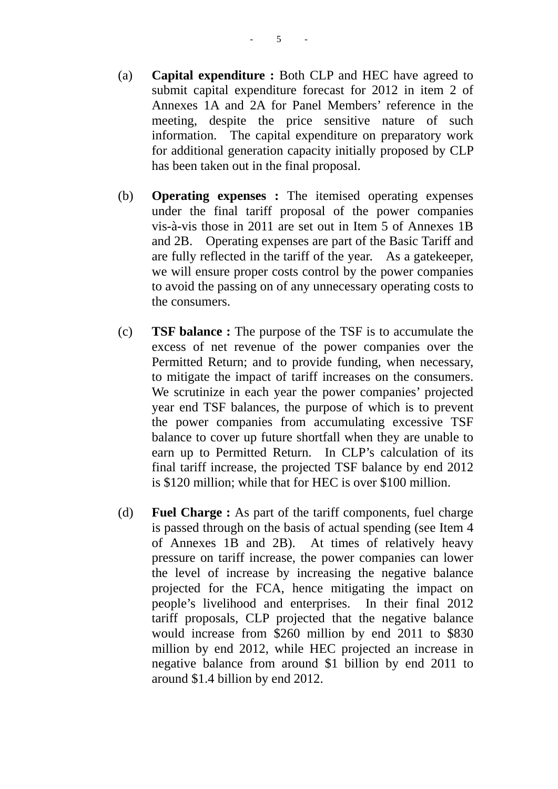- (a) **Capital expenditure :** Both CLP and HEC have agreed to submit capital expenditure forecast for 2012 in item 2 of Annexes 1A and 2A for Panel Members' reference in the meeting, despite the price sensitive nature of such information. The capital expenditure on preparatory work for additional generation capacity initially proposed by CLP has been taken out in the final proposal.
- (b) **Operating expenses :** The itemised operating expenses under the final tariff proposal of the power companies vis-à-vis those in 2011 are set out in Item 5 of Annexes 1B and 2B. Operating expenses are part of the Basic Tariff and are fully reflected in the tariff of the year. As a gatekeeper, we will ensure proper costs control by the power companies to avoid the passing on of any unnecessary operating costs to the consumers.
- (c) **TSF balance :** The purpose of the TSF is to accumulate the excess of net revenue of the power companies over the Permitted Return; and to provide funding, when necessary, to mitigate the impact of tariff increases on the consumers. We scrutinize in each year the power companies' projected year end TSF balances, the purpose of which is to prevent the power companies from accumulating excessive TSF balance to cover up future shortfall when they are unable to earn up to Permitted Return. In CLP's calculation of its final tariff increase, the projected TSF balance by end 2012 is \$120 million; while that for HEC is over \$100 million.
- (d) **Fuel Charge :** As part of the tariff components, fuel charge is passed through on the basis of actual spending (see Item 4 of Annexes 1B and 2B). At times of relatively heavy pressure on tariff increase, the power companies can lower the level of increase by increasing the negative balance projected for the FCA, hence mitigating the impact on people's livelihood and enterprises. In their final 2012 tariff proposals, CLP projected that the negative balance would increase from \$260 million by end 2011 to \$830 million by end 2012, while HEC projected an increase in negative balance from around \$1 billion by end 2011 to around \$1.4 billion by end 2012.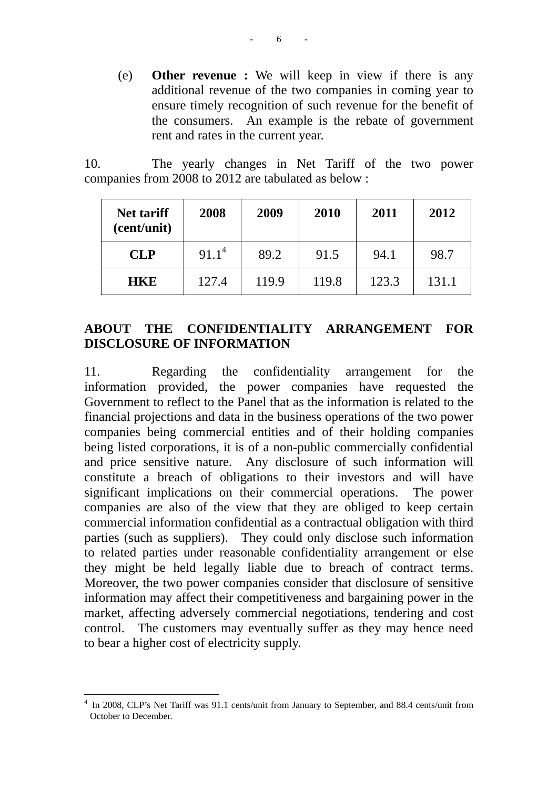(e) **Other revenue :** We will keep in view if there is any additional revenue of the two companies in coming year to ensure timely recognition of such revenue for the benefit of the consumers. An example is the rebate of government rent and rates in the current year.

10. The yearly changes in Net Tariff of the two power companies from 2008 to 2012 are tabulated as below :

| <b>Net tariff</b><br>(cent/unit) | 2008     | 2009  | 2010  | 2011  | 2012  |
|----------------------------------|----------|-------|-------|-------|-------|
| <b>CLP</b>                       | $91.1^4$ | 89.2  | 91.5  | 94.1  | 98.7  |
| <b>HKE</b>                       | 127.4    | 119.9 | 119.8 | 123.3 | 131.1 |

### **ABOUT THE CONFIDENTIALITY ARRANGEMENT FOR DISCLOSURE OF INFORMATION**

11. Regarding the confidentiality arrangement for the information provided, the power companies have requested the Government to reflect to the Panel that as the information is related to the financial projections and data in the business operations of the two power companies being commercial entities and of their holding companies being listed corporations, it is of a non-public commercially confidential and price sensitive nature. Any disclosure of such information will constitute a breach of obligations to their investors and will have significant implications on their commercial operations. The power companies are also of the view that they are obliged to keep certain commercial information confidential as a contractual obligation with third parties (such as suppliers). They could only disclose such information to related parties under reasonable confidentiality arrangement or else they might be held legally liable due to breach of contract terms. Moreover, the two power companies consider that disclosure of sensitive information may affect their competitiveness and bargaining power in the market, affecting adversely commercial negotiations, tendering and cost control. The customers may eventually suffer as they may hence need to bear a higher cost of electricity supply.

<sup>&</sup>lt;u>.</u> <sup>4</sup> In 2008, CLP's Net Tariff was 91.1 cents/unit from January to September, and 88.4 cents/unit from October to December.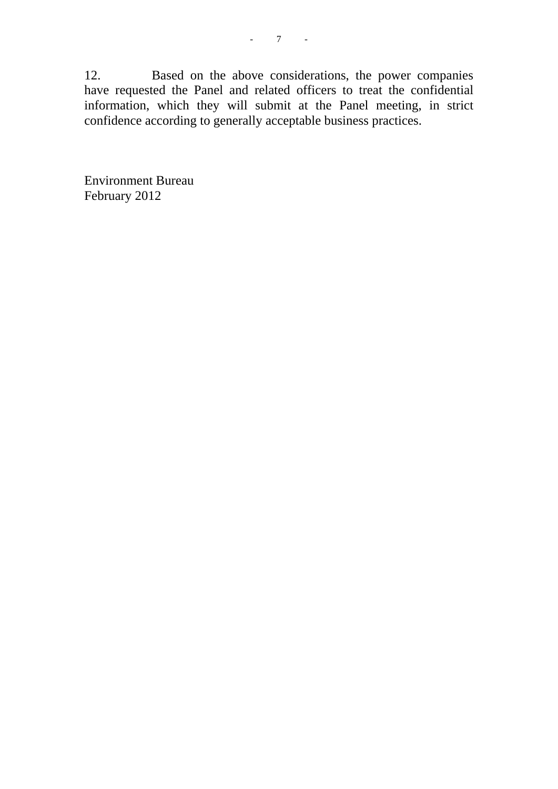12. Based on the above considerations, the power companies have requested the Panel and related officers to treat the confidential information, which they will submit at the Panel meeting, in strict confidence according to generally acceptable business practices.

Environment Bureau February 2012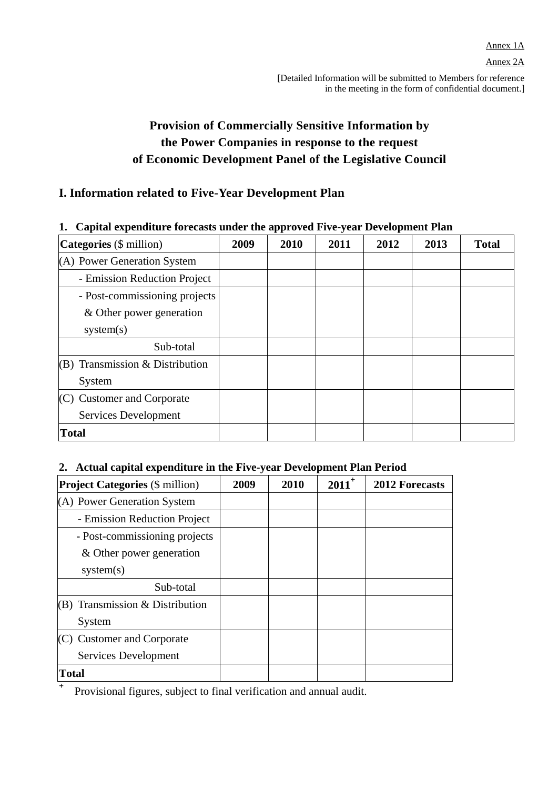# **Provision of Commercially Sensitive Information by the Power Companies in response to the request of Economic Development Panel of the Legislative Council**

### **I. Information related to Five-Year Development Plan**

#### **1. Capital expenditure forecasts under the approved Five-year Development Plan**

| Categories (\$ million)           | 2009 | 2010 | 2011 | 2012 | 2013 | <b>Total</b> |
|-----------------------------------|------|------|------|------|------|--------------|
| (A) Power Generation System       |      |      |      |      |      |              |
| - Emission Reduction Project      |      |      |      |      |      |              |
| - Post-commissioning projects     |      |      |      |      |      |              |
| & Other power generation          |      |      |      |      |      |              |
| system(s)                         |      |      |      |      |      |              |
| Sub-total                         |      |      |      |      |      |              |
| $(B)$ Transmission & Distribution |      |      |      |      |      |              |
| System                            |      |      |      |      |      |              |
| $(C)$ Customer and Corporate      |      |      |      |      |      |              |
| Services Development              |      |      |      |      |      |              |
| <b>Total</b>                      |      |      |      |      |      |              |

### **2. Actual capital expenditure in the Five-year Development Plan Period**

| <b>Project Categories (</b> \$ million) | 2009 | 2010 | $2011^+$ | <b>2012 Forecasts</b> |
|-----------------------------------------|------|------|----------|-----------------------|
| (A) Power Generation System             |      |      |          |                       |
| - Emission Reduction Project            |      |      |          |                       |
| - Post-commissioning projects           |      |      |          |                       |
| & Other power generation                |      |      |          |                       |
| system(s)                               |      |      |          |                       |
| Sub-total                               |      |      |          |                       |
| $(B)$ Transmission & Distribution       |      |      |          |                       |
| System                                  |      |      |          |                       |
| $(C)$ Customer and Corporate            |      |      |          |                       |
| Services Development                    |      |      |          |                       |
| <b>Total</b>                            |      |      |          |                       |

<sup>+</sup> Provisional figures, subject to final verification and annual audit.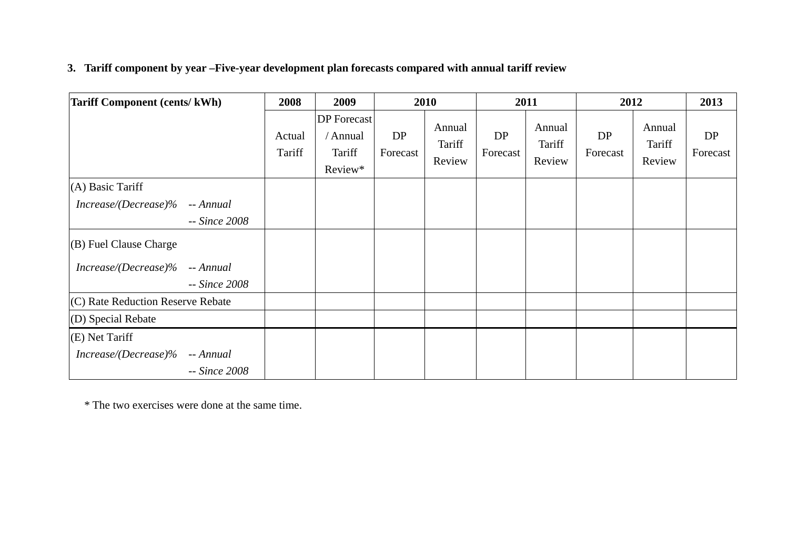#### **3. Tariff component by year –Five-year development plan forecasts compared with annual tariff review**

| <b>Tariff Component (cents/kWh)</b> |               | 2008             | 2009                                                |                | 2010                       |                | 2011                       | 2012           |                            | 2013           |
|-------------------------------------|---------------|------------------|-----------------------------------------------------|----------------|----------------------------|----------------|----------------------------|----------------|----------------------------|----------------|
|                                     |               | Actual<br>Tariff | <b>DP</b> Forecast<br>/ Annual<br>Tariff<br>Review* | DP<br>Forecast | Annual<br>Tariff<br>Review | DP<br>Forecast | Annual<br>Tariff<br>Review | DP<br>Forecast | Annual<br>Tariff<br>Review | DP<br>Forecast |
| $(A)$ Basic Tariff                  |               |                  |                                                     |                |                            |                |                            |                |                            |                |
| Increase/(Decrease)% -- Annual      |               |                  |                                                     |                |                            |                |                            |                |                            |                |
|                                     | -- Since 2008 |                  |                                                     |                |                            |                |                            |                |                            |                |
| $(B)$ Fuel Clause Charge            |               |                  |                                                     |                |                            |                |                            |                |                            |                |
| Increase/(Decrease)% -- Annual      |               |                  |                                                     |                |                            |                |                            |                |                            |                |
|                                     | -- Since 2008 |                  |                                                     |                |                            |                |                            |                |                            |                |
| $(C)$ Rate Reduction Reserve Rebate |               |                  |                                                     |                |                            |                |                            |                |                            |                |
| $(D)$ Special Rebate                |               |                  |                                                     |                |                            |                |                            |                |                            |                |
| $(E)$ Net Tariff                    |               |                  |                                                     |                |                            |                |                            |                |                            |                |
| Increase/(Decrease)% -- Annual      |               |                  |                                                     |                |                            |                |                            |                |                            |                |
|                                     | -- Since 2008 |                  |                                                     |                |                            |                |                            |                |                            |                |

\* The two exercises were done at the same time.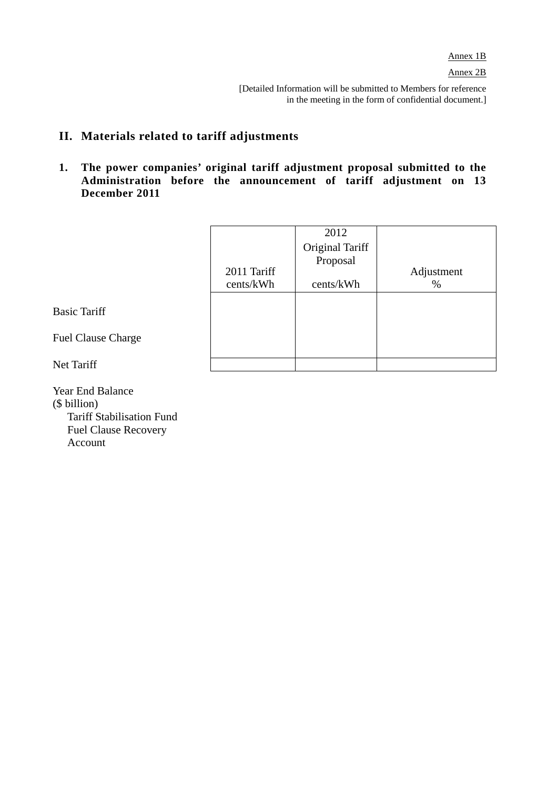# **II. Materials related to tariff adjustments**

#### **1. The power companies' original tariff adjustment proposal submitted to the Administration before the announcement of tariff adjustment on 13 December 2011**

|                           | 2011 Tariff<br>cents/kWh | 2012<br>Original Tariff<br>Proposal | Adjustment |
|---------------------------|--------------------------|-------------------------------------|------------|
|                           |                          | cents/kWh                           | $\%$       |
| <b>Basic Tariff</b>       |                          |                                     |            |
| <b>Fuel Clause Charge</b> |                          |                                     |            |
| Net Tariff                |                          |                                     |            |

Year End Balance (\$ billion) Tariff Stabilisation Fund Fuel Clause Recovery Account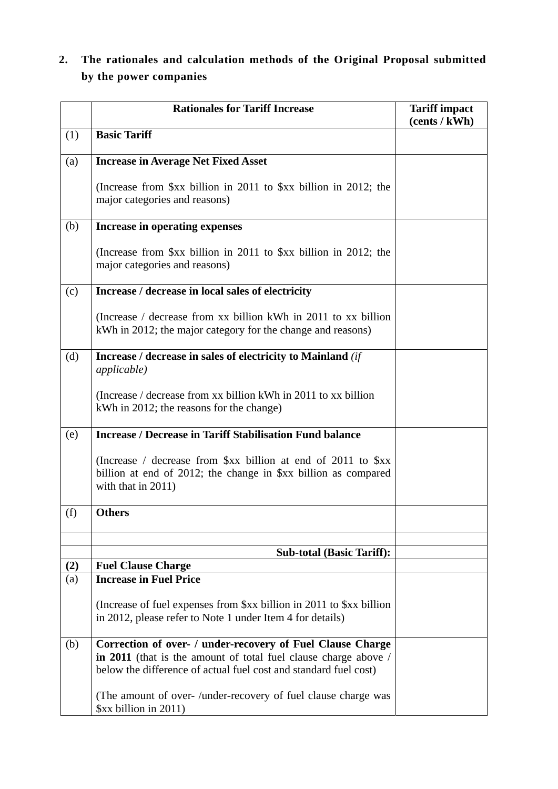# **2. The rationales and calculation methods of the Original Proposal submitted by the power companies**

|            | <b>Rationales for Tariff Increase</b>                                                                                                                                                             | <b>Tariff impact</b><br>(cents / kWh) |
|------------|---------------------------------------------------------------------------------------------------------------------------------------------------------------------------------------------------|---------------------------------------|
| (1)        | <b>Basic Tariff</b>                                                                                                                                                                               |                                       |
| (a)        | <b>Increase in Average Net Fixed Asset</b>                                                                                                                                                        |                                       |
|            | (Increase from \$xx billion in 2011 to \$xx billion in 2012; the<br>major categories and reasons)                                                                                                 |                                       |
| (b)        | Increase in operating expenses                                                                                                                                                                    |                                       |
|            | (Increase from \$xx billion in 2011 to \$xx billion in 2012; the<br>major categories and reasons)                                                                                                 |                                       |
| (c)        | Increase / decrease in local sales of electricity                                                                                                                                                 |                                       |
|            | (Increase / decrease from xx billion kWh in 2011 to xx billion<br>kWh in 2012; the major category for the change and reasons)                                                                     |                                       |
| (d)        | Increase / decrease in sales of electricity to Mainland (if<br><i>applicable</i> )                                                                                                                |                                       |
|            | (Increase / decrease from xx billion kWh in 2011 to xx billion<br>kWh in 2012; the reasons for the change)                                                                                        |                                       |
| (e)        | <b>Increase / Decrease in Tariff Stabilisation Fund balance</b>                                                                                                                                   |                                       |
|            | (Increase / decrease from $x \sinh \theta$ at end of 2011 to $x \sinh \theta$<br>billion at end of 2012; the change in \$xx billion as compared<br>with that in $2011$ )                          |                                       |
| (f)        | <b>Others</b>                                                                                                                                                                                     |                                       |
|            |                                                                                                                                                                                                   |                                       |
|            | <b>Sub-total (Basic Tariff):</b>                                                                                                                                                                  |                                       |
| (2)<br>(a) | <b>Fuel Clause Charge</b><br><b>Increase in Fuel Price</b>                                                                                                                                        |                                       |
|            |                                                                                                                                                                                                   |                                       |
|            | (Increase of fuel expenses from \$xx billion in 2011 to \$xx billion<br>in 2012, please refer to Note 1 under Item 4 for details)                                                                 |                                       |
| (b)        | Correction of over- / under-recovery of Fuel Clause Charge<br>in 2011 (that is the amount of total fuel clause charge above /<br>below the difference of actual fuel cost and standard fuel cost) |                                       |
|            | (The amount of over-/under-recovery of fuel clause charge was<br>\$xx billion in 2011)                                                                                                            |                                       |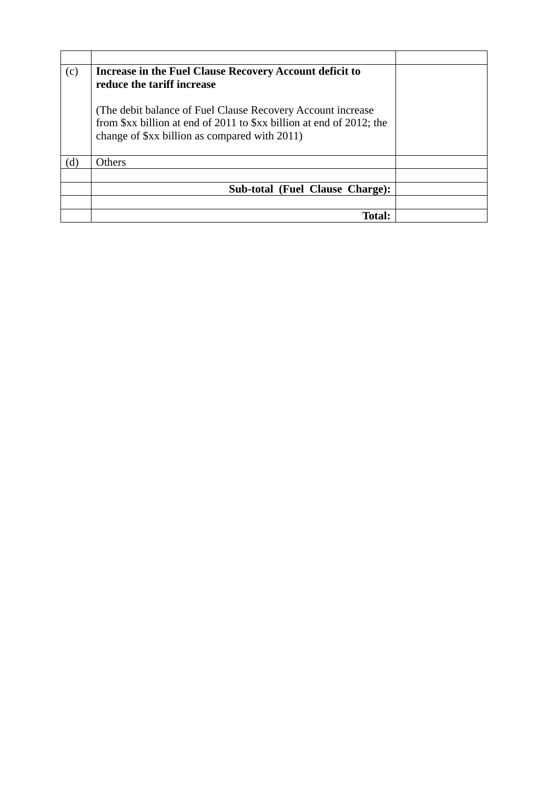| (c) | Increase in the Fuel Clause Recovery Account deficit to<br>reduce the tariff increase                                                                                                 |  |
|-----|---------------------------------------------------------------------------------------------------------------------------------------------------------------------------------------|--|
|     | (The debit balance of Fuel Clause Recovery Account increase)<br>from \$xx billion at end of 2011 to \$xx billion at end of 2012; the<br>change of \$xx billion as compared with 2011) |  |
| (d) | Others                                                                                                                                                                                |  |
|     | Sub-total (Fuel Clause Charge):                                                                                                                                                       |  |
|     | <b>Total:</b>                                                                                                                                                                         |  |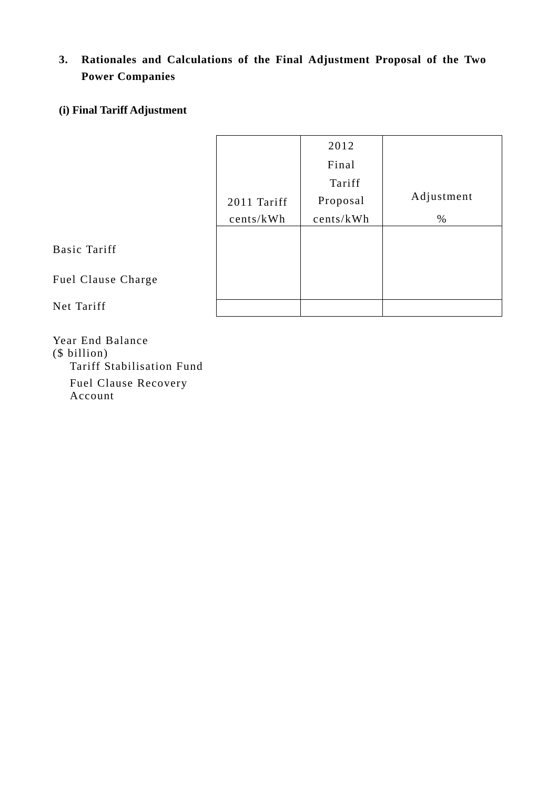**3. Rationales and Calculations of the Final Adjustment Proposal of the Two Power Companies** 

# **(i) Final Tariff Adjustment**

|                     |             | 2012      |            |
|---------------------|-------------|-----------|------------|
|                     |             | Final     |            |
|                     |             | Tariff    |            |
|                     | 2011 Tariff | Proposal  | Adjustment |
|                     | cents/kWh   | cents/kWh | %          |
| <b>Basic Tariff</b> |             |           |            |
| Fuel Clause Charge  |             |           |            |
| Net Tariff          |             |           |            |

Year End Balance (\$ billion) Tariff Stabilisation Fund Fuel Clause Recovery Account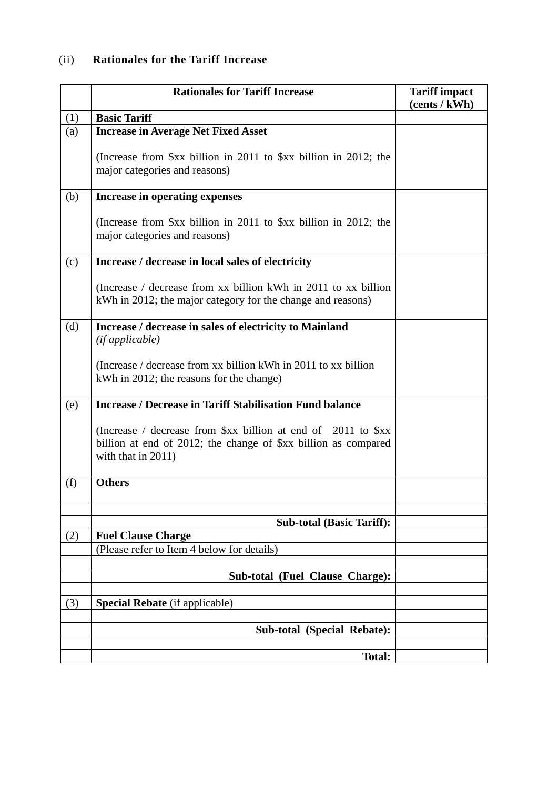### (ii) **Rationales for the Tariff Increase**

|     | <b>Rationales for Tariff Increase</b>                                                                                                                                 | <b>Tariff impact</b><br>(cents / kWh) |
|-----|-----------------------------------------------------------------------------------------------------------------------------------------------------------------------|---------------------------------------|
| (1) | <b>Basic Tariff</b>                                                                                                                                                   |                                       |
| (a) | <b>Increase in Average Net Fixed Asset</b>                                                                                                                            |                                       |
|     | (Increase from \$xx billion in 2011 to \$xx billion in 2012; the<br>major categories and reasons)                                                                     |                                       |
| (b) | Increase in operating expenses                                                                                                                                        |                                       |
|     | (Increase from \$xx billion in 2011 to \$xx billion in 2012; the<br>major categories and reasons)                                                                     |                                       |
| (c) | Increase / decrease in local sales of electricity                                                                                                                     |                                       |
|     | (Increase / decrease from xx billion kWh in 2011 to xx billion<br>kWh in 2012; the major category for the change and reasons)                                         |                                       |
| (d) | Increase / decrease in sales of electricity to Mainland<br>(ifappliedble)                                                                                             |                                       |
|     | (Increase / decrease from xx billion kWh in 2011 to xx billion<br>kWh in 2012; the reasons for the change)                                                            |                                       |
| (e) | <b>Increase / Decrease in Tariff Stabilisation Fund balance</b>                                                                                                       |                                       |
|     | (Increase / decrease from $x \sinh \theta$ at end of 2011 to $x \sinh \theta$<br>billion at end of 2012; the change of \$xx billion as compared<br>with that in 2011) |                                       |
| (f) | <b>Others</b>                                                                                                                                                         |                                       |
|     |                                                                                                                                                                       |                                       |
|     | <b>Sub-total (Basic Tariff):</b>                                                                                                                                      |                                       |
| (2) | <b>Fuel Clause Charge</b><br>(Please refer to Item 4 below for details)                                                                                               |                                       |
|     |                                                                                                                                                                       |                                       |
|     | Sub-total (Fuel Clause Charge):                                                                                                                                       |                                       |
|     |                                                                                                                                                                       |                                       |
| (3) | <b>Special Rebate</b> (if applicable)                                                                                                                                 |                                       |
|     |                                                                                                                                                                       |                                       |
|     | Sub-total (Special Rebate):                                                                                                                                           |                                       |
|     | <b>Total:</b>                                                                                                                                                         |                                       |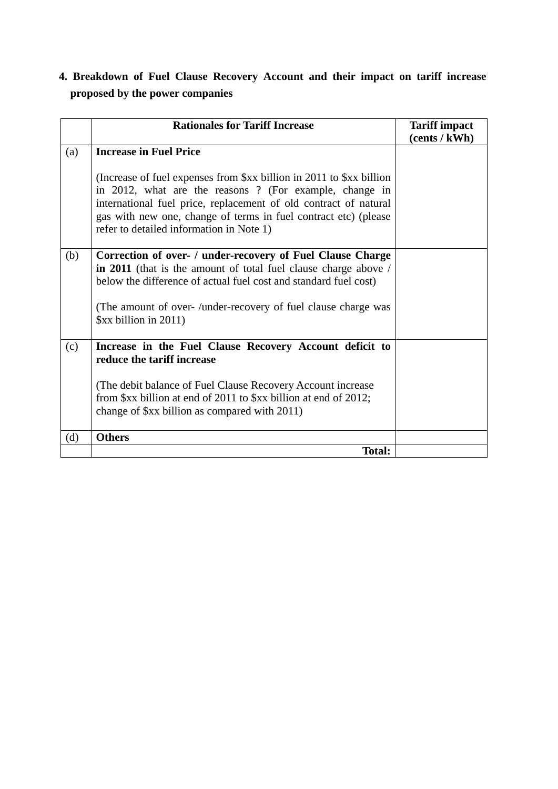# **4. Breakdown of Fuel Clause Recovery Account and their impact on tariff increase proposed by the power companies**

|     | <b>Rationales for Tariff Increase</b>                                                                                                                                                                                                                                                                             | <b>Tariff impact</b><br>(cents / kWh) |
|-----|-------------------------------------------------------------------------------------------------------------------------------------------------------------------------------------------------------------------------------------------------------------------------------------------------------------------|---------------------------------------|
| (a) | <b>Increase in Fuel Price</b>                                                                                                                                                                                                                                                                                     |                                       |
|     | (Increase of fuel expenses from \$xx billion in 2011 to \$xx billion<br>in 2012, what are the reasons? (For example, change in<br>international fuel price, replacement of old contract of natural<br>gas with new one, change of terms in fuel contract etc) (please<br>refer to detailed information in Note 1) |                                       |
| (b) | Correction of over- / under-recovery of Fuel Clause Charge<br>in 2011 (that is the amount of total fuel clause charge above /<br>below the difference of actual fuel cost and standard fuel cost)                                                                                                                 |                                       |
|     | (The amount of over-/under-recovery of fuel clause charge was<br>$\frac{5}{x}$ billion in 2011)                                                                                                                                                                                                                   |                                       |
| (c) | Increase in the Fuel Clause Recovery Account deficit to<br>reduce the tariff increase                                                                                                                                                                                                                             |                                       |
|     | (The debit balance of Fuel Clause Recovery Account increase)<br>from \$xx billion at end of 2011 to \$xx billion at end of 2012;<br>change of \$xx billion as compared with 2011)                                                                                                                                 |                                       |
| (d) | <b>Others</b>                                                                                                                                                                                                                                                                                                     |                                       |
|     | <b>Total:</b>                                                                                                                                                                                                                                                                                                     |                                       |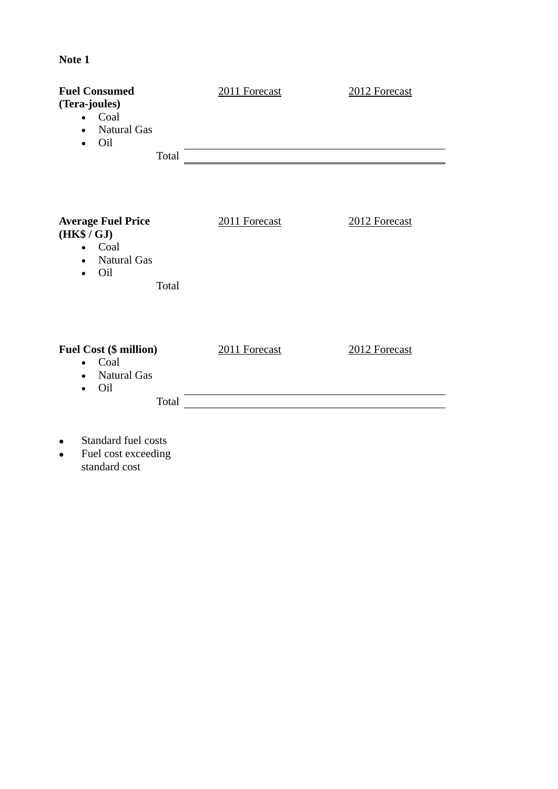### **Note 1**

| <b>Fuel Consumed</b><br>(Tera-joules)<br>• Coal<br><b>Natural Gas</b><br>$\bullet$<br>Oil<br>Total            | 2011 Forecast | 2012 Forecast |
|---------------------------------------------------------------------------------------------------------------|---------------|---------------|
| <b>Average Fuel Price</b><br>(HK\$ / GJ)<br>$\bullet$ Coal<br><b>Natural Gas</b><br>$\bullet$<br>Oil<br>Total | 2011 Forecast | 2012 Forecast |
| <b>Fuel Cost (\$ million)</b><br>$\bullet$ Coal<br><b>Natural Gas</b><br>Oil<br>Total                         | 2011 Forecast | 2012 Forecast |
| Standard fual costs                                                                                           |               |               |

- Standard fuel costs
- Fuel cost exceeding standard cost